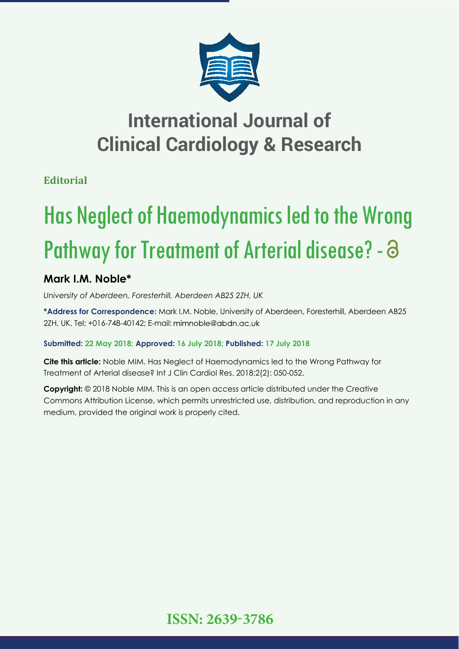

# **International Journal of Clinical Cardiology & Research**

**Editorial**

# Has Neglect of Haemodynamics led to the Wrong Pathway for Treatment of Arterial disease? - 8

## **Mark I.M. Noble\***

*University of Aberdeen, Foresterhill, Aberdeen AB25 2ZH, UK*

**\*Address for Correspondence:** Mark I.M. Noble, University of Aberdeen, Foresterhill, Aberdeen AB25 2ZH, UK, Tel: +016-748-40142; E-mail: mimnoble@abdn.ac.uk

### **Submitted: 22 May 2018; Approved: 16 July 2018; Published: 17 July 2018**

**Cite this article:** Noble MIM. Has Neglect of Haemodynamics led to the Wrong Pathway for Treatment of Arterial disease? Int J Clin Cardiol Res. 2018;2(2): 050-052.

**Copyright:** © 2018 Noble MIM. This is an open access article distributed under the Creative Commons Attribution License, which permits unrestricted use, distribution, and reproduction in any medium, provided the original work is properly cited.

**ISSN: 2639-3786**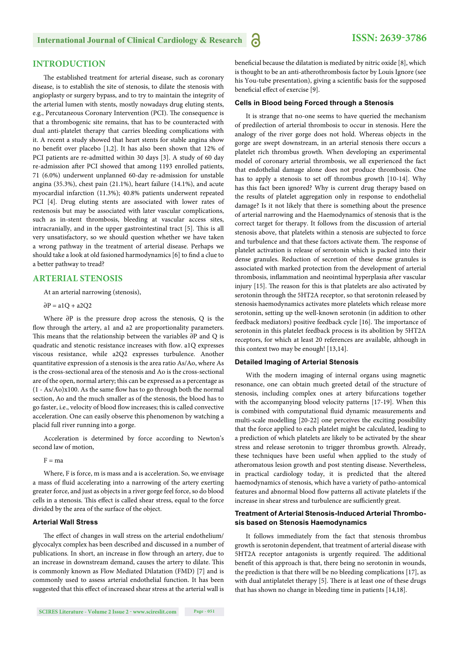#### **INTRODUCTION**

The established treatment for arterial disease, such as coronary disease, is to establish the site of stenosis, to dilate the stenosis with angioplasty or surgery bypass, and to try to maintain the integrity of the arterial lumen with stents, mostly nowadays drug eluting stents, e.g., Percutaneous Coronary Intervention (PCI). The consequence is that a thrombogenic site remains, that has to be counteracted with dual anti-platelet therapy that carries bleeding complications with it. A recent a study showed that heart stents for stable angina show no benefit over placebo [1,2]. It has also been shown that 12% of PCI patients are re-admitted within 30 days [3]. A study of 60 day re-admission after PCI showed that among 1193 enrolled patients, 71 (6.0%) underwent unplanned 60-day re-admission for unstable angina (35.3%), chest pain (21.1%), heart failure (14.1%), and acute myocardial infarction (11.3%); 40.8% patients underwent repeated PCI [4]. Drug eluting stents are associated with lower rates of restenosis but may be associated with later vascular complications, such as in-stent thrombosis, bleeding at vascular access sites, intracranially, and in the upper gastrointestinal tract [5]. This is all very unsatisfactory, so we should question whether we have taken a wrong pathway in the treatment of arterial disease. Perhaps we should take a look at old fasioned harmodynamics [6] to find a clue to a better pathway to tread?

#### **ARTERIAL STENOSIS**

At an arterial narrowing (stenosis),

 $\partial P = a1O + a2O2$ 

Where ∂P is the pressure drop across the stenosis, Q is the flow through the artery, a1 and a2 are proportionality parameters. This means that the relationship between the variables ∂P and Q is quadratic and stenotic resistance increases with flow. a1Q expresses viscous resistance, while a2Q2 expresses turbulence. Another quantitative expression of a stenosis is the area ratio As/Ao, where As is the cross-sectional area of the stenosis and Ao is the cross-sectional are of the open, normal artery; this can be expressed as a percentage as  $(1 - As/Ao)x100$ . As the same flow has to go through both the normal section, Ao and the much smaller as of the stenosis, the blood has to go faster, i.e., velocity of blood flow increases; this is called convective acceleration. One can easily observe this phenomenon by watching a placid full river running into a gorge.

Acceleration is determined by force according to Newton's second law of motion,

 $F = ma$ 

Where, F is force, m is mass and a is acceleration. So, we envisage a mass of fluid accelerating into a narrowing of the artery exerting greater force, and just as objects in a river gorge feel force, so do blood cells in a stenosis. This effect is called shear stress, equal to the force divided by the area of the surface of the object.

#### **Arterial Wall Stress**

The effect of changes in wall stress on the arterial endothelium/ glycocalyx complex has been described and discussed in a number of publications. In short, an increase in flow through an artery, due to an increase in downstream demand, causes the artery to dilate. This is commonly known as Flow Mediated Dilatation (FMD) [7] and is commonly used to assess arterial endothelial function. It has been suggested that this effect of increased shear stress at the arterial wall is beneficial because the dilatation is mediated by nitric oxide [8], which is thought to be an anti-atherothrombosis factor by Louis Ignore (see his You-tube presentation), giving a scientific basis for the supposed beneficial effect of exercise [9].

#### **Cells in Blood being Forced through a Stenosis**

It is strange that no-one seems to have queried the mechanism of predilection of arterial thrombosis to occur in stenosis. Here the analogy of the river gorge does not hold. Whereas objects in the gorge are swept downstream, in an arterial stenosis there occurs a platelet rich thrombus growth. When developing an experimental model of coronary arterial thrombosis, we all experienced the fact that endothelial damage alone does not produce thrombosis. One has to apply a stenosis to set off thrombus growth [10-14]. Why has this fact been ignored? Why is current drug therapy based on the results of platelet aggregation only in response to endothelial damage? Is it not likely that there is something about the presence of arterial narrowing and the Haemodynamics of stenosis that is the correct target for therapy. It follows from the discussion of arterial stenosis above, that platelets within a stenosis are subjected to force and turbulence and that these factors activate them. The response of platelet activation is release of serotonin which is packed into their dense granules. Reduction of secretion of these dense granules is associated with marked protection from the development of arterial thrombosis, inflammation and neointimal hyperplasia after vascular injury [15]. The reason for this is that platelets are also activated by serotonin through the 5HT2A receptor, so that serotonin released by stenosis haemodynamics activates more platelets which release more serotonin, setting up the well-known serotonin (in addition to other feedback mediators) positive feedback cycle [16]. The importance of serotonin in this platelet feedback process is its abolition by 5HT2A receptors, for which at least 20 references are available, although in this context two may be enough! [13,14].

#### **Detailed Imaging of Arterial Stenosis**

With the modern imaging of internal organs using magnetic resonance, one can obtain much greeted detail of the structure of stenosis, including complex ones at artery bifurcations together with the accompanying blood velocity patterns [17-19]. When this is combined with computational fluid dynamic measurements and multi-scale modelling [20-22] one perceives the exciting possibility that the force applied to each platelet might be calculated, leading to a prediction of which platelets are likely to be activated by the shear stress and release serotonin to trigger thrombus growth. Already, these techniques have been useful when applied to the study of atheromatous lesion growth and post stenting disease. Nevertheless, in practical cardiology today, it is predicted that the altered haemodynamics of stenosis, which have a variety of patho-antomical features and abnormal blood flow patterns all activate platelets if the increase in shear stress and turbulence are sufficiently great.

#### **Treatment of Arterial Stenosis-Induced Arterial Thrombosis based on Stenosis Haemodynamics**

It follows immediately from the fact that stenosis thrombus growth is serotonin dependent, that treatment of arterial disease with 5HT2A receptor antagonists is urgently required. The additional benefit of this approach is that, there being no serotonin in wounds, the prediction is that there will be no bleeding complications [17], as with dual antiplatelet therapy [5]. There is at least one of these drugs that has shown no change in bleeding time in patients [14,18].